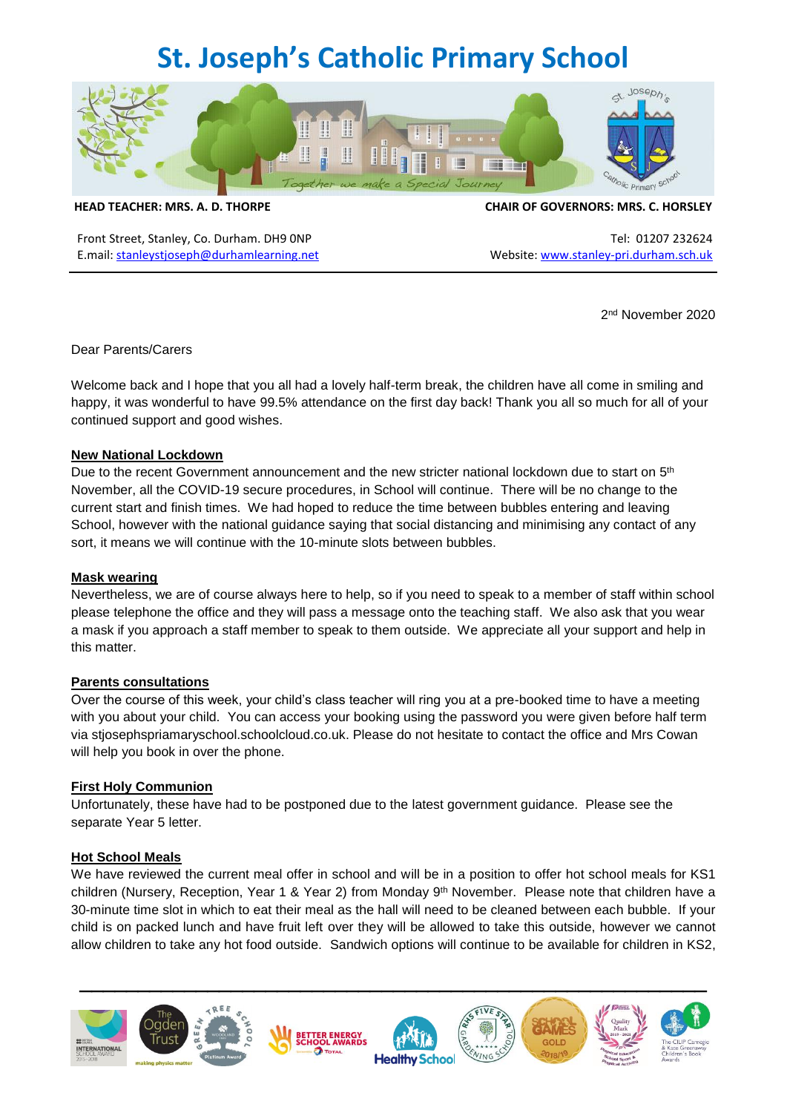# **St. Joseph's Catholic Primary School**



Front Street, Stanley, Co. Durham. DH9 0NP Tel: 01207 232624 E.mail: [stanleystjoseph@durhamlearning.net](mailto:stanleystjoseph@durhamlearning.net) Website: [www.stanley-pri.durham.sch.uk](http://www.stanley-pri.durham.sch.uk/)

#### **HEAD TEACHER: MRS. A. D. THORPE CHAIR OF GOVERNORS: MRS. C. HORSLEY**

2 nd November 2020

## Dear Parents/Carers

Welcome back and I hope that you all had a lovely half-term break, the children have all come in smiling and happy, it was wonderful to have 99.5% attendance on the first day back! Thank you all so much for all of your continued support and good wishes.

## **New National Lockdown**

Due to the recent Government announcement and the new stricter national lockdown due to start on  $5<sup>th</sup>$ November, all the COVID-19 secure procedures, in School will continue. There will be no change to the current start and finish times. We had hoped to reduce the time between bubbles entering and leaving School, however with the national guidance saying that social distancing and minimising any contact of any sort, it means we will continue with the 10-minute slots between bubbles.

## **Mask wearing**

Nevertheless, we are of course always here to help, so if you need to speak to a member of staff within school please telephone the office and they will pass a message onto the teaching staff. We also ask that you wear a mask if you approach a staff member to speak to them outside. We appreciate all your support and help in this matter.

## **Parents consultations**

Over the course of this week, your child's class teacher will ring you at a pre-booked time to have a meeting with you about your child. You can access your booking using the password you were given before half term via stjosephspriamaryschool.schoolcloud.co.uk. Please do not hesitate to contact the office and Mrs Cowan will help you book in over the phone.

#### **First Holy Communion**

Unfortunately, these have had to be postponed due to the latest government guidance. Please see the separate Year 5 letter.

## **Hot School Meals**

We have reviewed the current meal offer in school and will be in a position to offer hot school meals for KS1 children (Nursery, Reception, Year 1 & Year 2) from Monday 9<sup>th</sup> November. Please note that children have a 30-minute time slot in which to eat their meal as the hall will need to be cleaned between each bubble. If your child is on packed lunch and have fruit left over they will be allowed to take this outside, however we cannot allow children to take any hot food outside. Sandwich options will continue to be available for children in KS2,